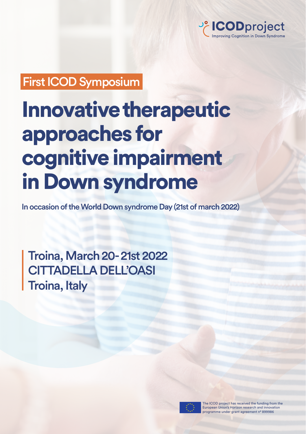

## First ICOD Symposium

# Innovative therapeutic approaches for cognitive impairment in Down syndrome

In occasion of the World Down syndrome Day (21st of march 2022)

Troina, March 20- 21st 2022 CITTADELLA DELL'OASI Troina, Italy



The ICOD project has received the funding from the European Union's Horizon research and innovation programme under grant agreement n° 899986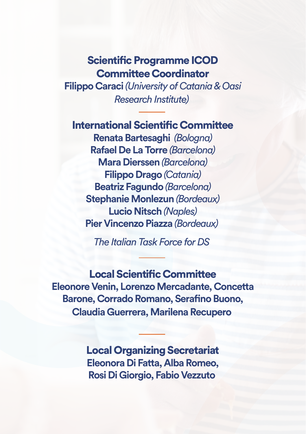## Scientific Programme ICOD Committee Coordinator

**Filippo Caraci** *(University of Catania & Oasi Research Institute)*

## International Scientific Committee

**Renata Bartesaghi** *(Bologna)*  **Rafael De La Torre** *(Barcelona)* **Mara Dierssen** *(Barcelona)* **Filippo Drago** *(Catania)* **Beatriz Fagundo** *(Barcelona)* **Stephanie Monlezun** *(Bordeaux)* **Lucio Nitsch** *(Naples)* **Pier Vincenzo Piazza** *(Bordeaux)* 

*The Italian Task Force for DS*

Local Scientific Committee **Eleonore Venin, Lorenzo Mercadante, Concetta Barone, Corrado Romano, Serafino Buono, Claudia Guerrera, Marilena Recupero**

> Local Organizing Secretariat **Eleonora Di Fatta, Alba Romeo, Rosi Di Giorgio, Fabio Vezzuto**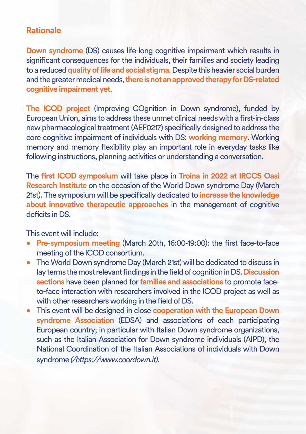### **Rationale**

**Down syndrome** (DS) causes life-long cognitive impairment which results in significant consequences for the individuals, their families and society leading to a reduced **quality of life and social stigma**. Despite this heavier social burden and the greater medical needs, **there is not an approved therapy for DS-related cognitive impairment yet**.

**The ICOD project** (Improving COgnition in Down syndrome), funded by European Union, aims to address these unmet clinical needs with a first-in-class new pharmacological treatment (AEF0217) specifically designed to address the core cognitive impairment of individuals with DS: **working memory**. Working memory and memory flexibility play an important role in everyday tasks like following instructions, planning activities or understanding a conversation.

The **first ICOD symposium** will take place in **Troina in 2022 at IRCCS Oasi Research Institute** on the occasion of the World Down syndrome Day (March 21st). The symposium will be specifically dedicated to **increase the knowledge about innovative therapeutic approaches** in the management of cognitive deficits in DS.

This event will include:

- **Pre-symposium meeting** (March 20th, 16:00-19:00): the first face-to-face meeting of the ICOD consortium.
- The World Down syndrome Day (March 21st) will be dedicated to discuss in lay terms the most relevant findings in the field of cognition in DS. **Discussion sections** have been planned for **families and associations** to promote faceto-face interaction with researchers involved in the ICOD project as well as with other researchers working in the field of DS.
- This event will be designed in close **cooperation with the European Down syndrome Association** (EDSA) and associations of each participating European country; in particular with Italian Down syndrome organizations, such as the Italian Association for Down syndrome individuals (AIPD), the National Coordination of the Italian Associations of individuals with Down syndrome *(/https://www.coordown.it).*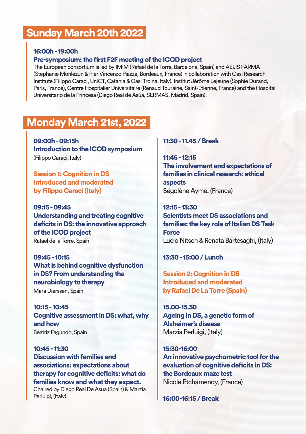## Sunday March 20th 2022

#### 16:00h - 19:00h

#### Pre-symposium: the first F2F meeting of the ICOD project

The European consortium is led by IMIM (Rafael de la Torre, Barcelona, Spain) and AELIS FARMA (Stephanie Monlezun & Pier Vincenzo Piazza, Bordeaux, France) in collaboration with Oasi Research Institute (Filippo Caraci, UniCT, Catania & Oasi Troina, Italy), Institut Jérôme Lejeune (Sophie Durand, Paris, France), Centre Hospitalier Universitaire (Renaud Touraine, Saint-Etienne, France) and the Hospital Universitario de la Princesa (Diego Real de Asúa, SERMAS, Madrid, Spain).

## Monday March 21st, 2022

09:00h - 09:15h Introduction to the ICOD symposium (Filippo Caraci, Italy)

Session 1: Cognition in DS Introduced and moderated by Filippo Caraci (Italy)

09:15 - 09:45 Understanding and treating cognitive deficits in DS: the innovative approach of the ICOD project Rafael de la Torre, Spain

09:45 - 10:15 What is behind cognitive dysfunction in DS? From understanding the neurobiology to therapy Mara Dierssen, Spain

10:15 - 10:45 Cognitive assessment in DS: what, why and how Beatriz Fagundo, Spain

10:45 - 11:30 Discussion with families and associations: expectations about therapy for cognitive deficits: what do families know and what they expect. Chaired by Diego Real De Asua (Spain) & Marzia Perluigi, (Italy)

#### 11:30 - 11.45 / Break

11:45 - 12:15 The involvement and expectations of families in clinical research: ethical aspects Ségolène Aymé, (France)

12:15 - 13:30 Scientists meet DS associations and families: the key role of Italian DS Task Force Lucio Nitsch & Renata Bartesaghi, (Italy)

13:30 - 15:00 / Lunch

Session 2: Cognition in DS Introduced and moderated by Rafael De La Torre (Spain)

15.00-15.30 Ageing in DS, a genetic form of Alzheimer's disease Marzia Perluigi, (Italy)

15:30-16:00 An innovative psychometric tool for the evaluation of cognitive deficits in DS: the Bordeaux maze test Nicole Etchamendy, (France)

16:00-16:15 / Break